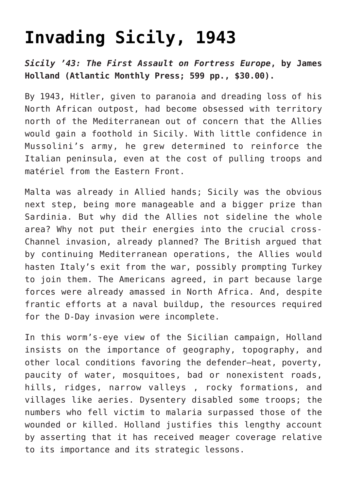## **[Invading Sicily, 1943](https://intellectualtakeout.org/2021/02/invading-sicily-1943/)**

*Sicily '43: The First Assault on Fortress Europe***, by James Holland (Atlantic Monthly Press; 599 pp., \$30.00).**

By 1943, Hitler, given to paranoia and dreading loss of his North African outpost, had become obsessed with territory north of the Mediterranean out of concern that the Allies would gain a foothold in Sicily. With little confidence in Mussolini's army, he grew determined to reinforce the Italian peninsula, even at the cost of pulling troops and matériel from the Eastern Front.

Malta was already in Allied hands; Sicily was the obvious next step, being more manageable and a bigger prize than Sardinia. But why did the Allies not sideline the whole area? Why not put their energies into the crucial cross-Channel invasion, already planned? The British argued that by continuing Mediterranean operations, the Allies would hasten Italy's exit from the war, possibly prompting Turkey to join them. The Americans agreed, in part because large forces were already amassed in North Africa. And, despite frantic efforts at a naval buildup, the resources required for the D-Day invasion were incomplete.

In this worm's-eye view of the Sicilian campaign, Holland insists on the importance of geography, topography, and other local conditions favoring the defender—heat, poverty, paucity of water, mosquitoes, bad or nonexistent roads, hills, ridges, narrow valleys , rocky formations, and villages like aeries. Dysentery disabled some troops; the numbers who fell victim to malaria surpassed those of the wounded or killed. Holland justifies this lengthy account by asserting that it has received meager coverage relative to its importance and its strategic lessons.